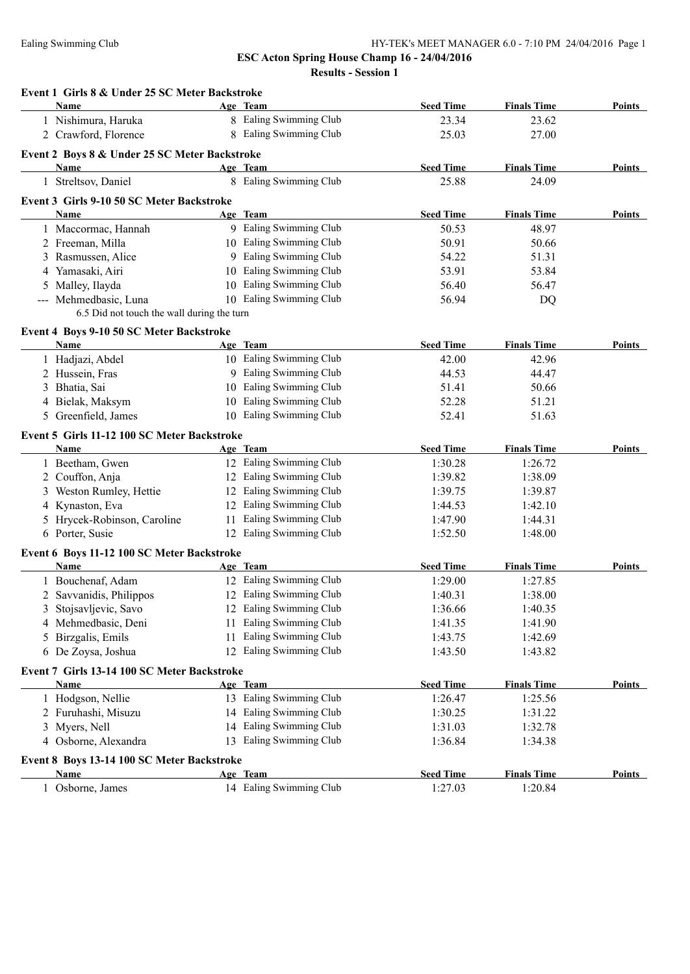| Event 1 Girls 8 & Under 25 SC Meter Backstroke<br>Name    |    |                         |                  |                    | Points        |
|-----------------------------------------------------------|----|-------------------------|------------------|--------------------|---------------|
|                                                           |    | Age Team                | <b>Seed Time</b> | <b>Finals Time</b> |               |
| 1 Nishimura, Haruka                                       |    | 8 Ealing Swimming Club  | 23.34            | 23.62              |               |
| 2 Crawford, Florence                                      |    | 8 Ealing Swimming Club  | 25.03            | 27.00              |               |
| Event 2 Boys 8 & Under 25 SC Meter Backstroke             |    |                         |                  |                    |               |
| Name                                                      |    | Age Team                | <b>Seed Time</b> | <b>Finals Time</b> | Points        |
| 1 Streltsov, Daniel                                       |    | 8 Ealing Swimming Club  | 25.88            | 24.09              |               |
| Event 3 Girls 9-10 50 SC Meter Backstroke                 |    |                         |                  |                    |               |
| Name                                                      |    | Age Team                | <b>Seed Time</b> | <b>Finals Time</b> | <b>Points</b> |
| 1 Maccormac, Hannah                                       |    | 9 Ealing Swimming Club  | 50.53            | 48.97              |               |
| 2 Freeman, Milla                                          |    | 10 Ealing Swimming Club | 50.91            | 50.66              |               |
| 3 Rasmussen, Alice                                        |    | 9 Ealing Swimming Club  | 54.22            | 51.31              |               |
| 4 Yamasaki, Airi                                          |    | 10 Ealing Swimming Club | 53.91            | 53.84              |               |
| 5 Malley, Ilayda                                          |    | 10 Ealing Swimming Club | 56.40            | 56.47              |               |
| --- Mehmedbasic, Luna                                     |    | 10 Ealing Swimming Club | 56.94            | <b>DQ</b>          |               |
| 6.5 Did not touch the wall during the turn                |    |                         |                  |                    |               |
| Event 4 Boys 9-10 50 SC Meter Backstroke                  |    |                         |                  |                    |               |
| Name                                                      |    | Age Team                | <b>Seed Time</b> | <b>Finals Time</b> | <b>Points</b> |
| 1 Hadjazi, Abdel                                          |    | 10 Ealing Swimming Club | 42.00            | 42.96              |               |
| 2 Hussein, Fras                                           |    | 9 Ealing Swimming Club  | 44.53            | 44.47              |               |
| 3 Bhatia, Sai                                             |    | 10 Ealing Swimming Club | 51.41            | 50.66              |               |
| 4 Bielak, Maksym                                          |    | 10 Ealing Swimming Club | 52.28            | 51.21              |               |
| 5 Greenfield, James                                       |    | 10 Ealing Swimming Club | 52.41            | 51.63              |               |
| Event 5 Girls 11-12 100 SC Meter Backstroke               |    |                         |                  |                    |               |
| Name                                                      |    | Age Team                | <b>Seed Time</b> | <b>Finals Time</b> | Points        |
| 1 Beetham, Gwen                                           |    | 12 Ealing Swimming Club | 1:30.28          | 1:26.72            |               |
| 2 Couffon, Anja                                           |    | 12 Ealing Swimming Club | 1:39.82          | 1:38.09            |               |
| 3 Weston Rumley, Hettie                                   |    | 12 Ealing Swimming Club | 1:39.75          | 1:39.87            |               |
| 4 Kynaston, Eva                                           |    | 12 Ealing Swimming Club | 1:44.53          | 1:42.10            |               |
| 5 Hrycek-Robinson, Caroline                               |    | 11 Ealing Swimming Club | 1:47.90          | 1:44.31            |               |
| 6 Porter, Susie                                           |    | 12 Ealing Swimming Club | 1:52.50          | 1:48.00            |               |
|                                                           |    |                         |                  |                    |               |
| Event 6 Boys 11-12 100 SC Meter Backstroke<br><b>Name</b> |    | Age Team                | <b>Seed Time</b> | <b>Finals Time</b> | Points        |
| 1 Bouchenaf, Adam                                         |    | 12 Ealing Swimming Club | 1:29.00          | 1:27.85            |               |
| 2 Savvanidis, Philippos                                   |    | 12 Ealing Swimming Club | 1:40.31          | 1:38.00            |               |
| Stojsavljevic, Savo                                       |    | 12 Ealing Swimming Club | 1:36.66          | 1:40.35            |               |
| 3<br>4 Mehmedbasic, Deni                                  |    | 11 Ealing Swimming Club | 1:41.35          | 1:41.90            |               |
| Birzgalis, Emils                                          | 11 | Ealing Swimming Club    | 1:43.75          | 1:42.69            |               |
| 5<br>6 De Zoysa, Joshua                                   |    | 12 Ealing Swimming Club | 1:43.50          | 1:43.82            |               |
|                                                           |    |                         |                  |                    |               |
| Event 7 Girls 13-14 100 SC Meter Backstroke               |    |                         |                  |                    |               |
| Name                                                      |    | Age Team                | <b>Seed Time</b> | <b>Finals Time</b> | Points        |
| 1 Hodgson, Nellie                                         |    | 13 Ealing Swimming Club | 1:26.47          | 1:25.56            |               |
| 2 Furuhashi, Misuzu                                       |    | 14 Ealing Swimming Club | 1:30.25          | 1:31.22            |               |
| 3 Myers, Nell                                             |    | 14 Ealing Swimming Club | 1:31.03          | 1:32.78            |               |
| 4 Osborne, Alexandra                                      |    | 13 Ealing Swimming Club | 1:36.84          | 1:34.38            |               |
| Event 8 Boys 13-14 100 SC Meter Backstroke                |    |                         |                  |                    |               |
| Name                                                      |    | Age Team                | <b>Seed Time</b> | <b>Finals Time</b> | <b>Points</b> |
| 1 Osborne, James                                          |    | 14 Ealing Swimming Club | 1:27.03          | 1:20.84            |               |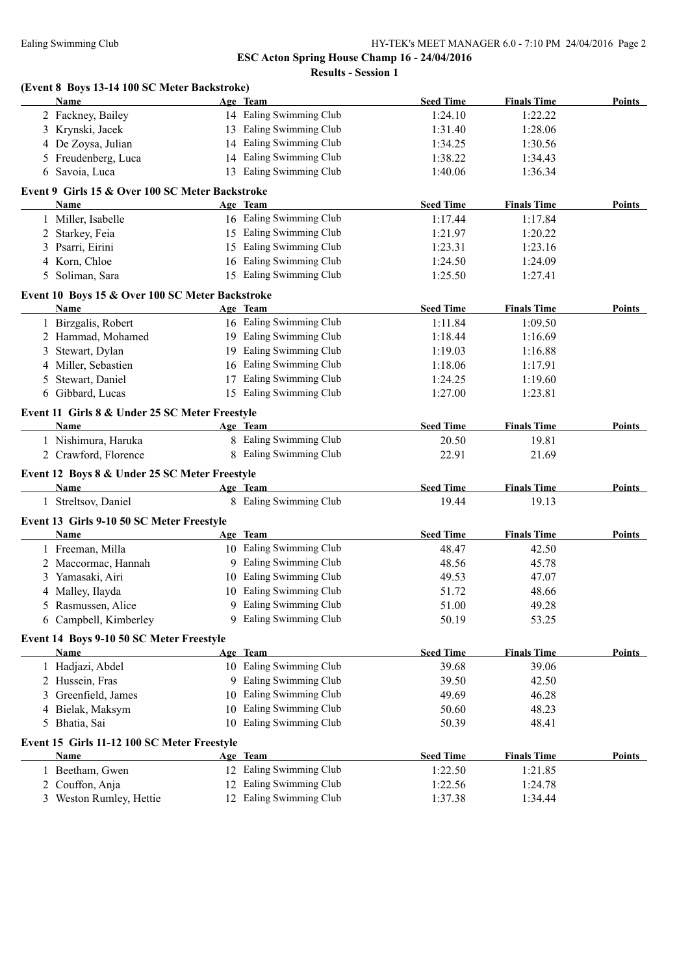|    | (Event 8 Boys 13-14 100 SC Meter Backstroke)<br><b>Name</b> |    | Age Team                | <b>Seed Time</b> | <b>Finals Time</b> | <b>Points</b> |
|----|-------------------------------------------------------------|----|-------------------------|------------------|--------------------|---------------|
|    | 2 Fackney, Bailey                                           |    | 14 Ealing Swimming Club | 1:24.10          | 1:22.22            |               |
|    | 3 Krynski, Jacek                                            |    | 13 Ealing Swimming Club | 1:31.40          | 1:28.06            |               |
|    | 4 De Zoysa, Julian                                          |    | 14 Ealing Swimming Club | 1:34.25          | 1:30.56            |               |
|    | 5 Freudenberg, Luca                                         |    | 14 Ealing Swimming Club | 1:38.22          | 1:34.43            |               |
|    | 6 Savoia, Luca                                              |    | 13 Ealing Swimming Club | 1:40.06          | 1:36.34            |               |
|    | Event 9 Girls 15 & Over 100 SC Meter Backstroke             |    |                         |                  |                    |               |
|    | Name                                                        |    | Age Team                | <b>Seed Time</b> | <b>Finals Time</b> | Points        |
|    | 1 Miller, Isabelle                                          |    | 16 Ealing Swimming Club | 1:17.44          | 1:17.84            |               |
|    | 2 Starkey, Feia                                             |    | 15 Ealing Swimming Club | 1:21.97          | 1:20.22            |               |
| 3  | Psarri, Eirini                                              |    | 15 Ealing Swimming Club | 1:23.31          | 1:23.16            |               |
|    | 4 Korn, Chloe                                               |    | 16 Ealing Swimming Club | 1:24.50          | 1:24.09            |               |
| 5. | Soliman, Sara                                               |    | 15 Ealing Swimming Club | 1:25.50          | 1:27.41            |               |
|    | Event 10 Boys 15 & Over 100 SC Meter Backstroke             |    |                         |                  |                    |               |
|    | <b>Name</b>                                                 |    | Age Team                | <b>Seed Time</b> | <b>Finals Time</b> | <b>Points</b> |
|    | 1 Birzgalis, Robert                                         |    | 16 Ealing Swimming Club | 1:11.84          | 1:09.50            |               |
|    | 2 Hammad, Mohamed                                           |    | 19 Ealing Swimming Club | 1:18.44          | 1:16.69            |               |
| 3  | Stewart, Dylan                                              |    | 19 Ealing Swimming Club | 1:19.03          | 1:16.88            |               |
|    | 4 Miller, Sebastien                                         |    | 16 Ealing Swimming Club | 1:18.06          | 1:17.91            |               |
| 5  | Stewart, Daniel                                             |    | 17 Ealing Swimming Club | 1:24.25          | 1:19.60            |               |
|    | 6 Gibbard, Lucas                                            |    | 15 Ealing Swimming Club | 1:27.00          | 1:23.81            |               |
|    | Event 11 Girls 8 & Under 25 SC Meter Freestyle              |    |                         |                  |                    |               |
|    | Name                                                        |    | Age Team                | <b>Seed Time</b> | <b>Finals Time</b> | <b>Points</b> |
|    | 1 Nishimura, Haruka                                         |    | 8 Ealing Swimming Club  | 20.50            | 19.81              |               |
|    | 2 Crawford, Florence                                        |    | 8 Ealing Swimming Club  | 22.91            | 21.69              |               |
|    | Event 12 Boys 8 & Under 25 SC Meter Freestyle               |    |                         |                  |                    |               |
|    | <b>Name</b>                                                 |    | Age Team                | <b>Seed Time</b> | <b>Finals Time</b> | <b>Points</b> |
|    | 1 Streltsov, Daniel                                         |    | 8 Ealing Swimming Club  | 19.44            | 19.13              |               |
|    | Event 13 Girls 9-10 50 SC Meter Freestyle                   |    |                         |                  |                    |               |
|    | <b>Name</b>                                                 |    | Age Team                | <b>Seed Time</b> | <b>Finals Time</b> | Points        |
|    | 1 Freeman, Milla                                            |    | 10 Ealing Swimming Club | 48.47            | 42.50              |               |
|    | 2 Maccormac, Hannah                                         |    | 9 Ealing Swimming Club  | 48.56            | 45.78              |               |
|    | 3 Yamasaki, Airi                                            |    | 10 Ealing Swimming Club | 49.53            | 47.07              |               |
|    | 4 Malley, Ilayda                                            |    | 10 Ealing Swimming Club | 51.72            | 48.66              |               |
|    | 5 Rasmussen, Alice                                          |    | 9 Ealing Swimming Club  | 51.00            | 49.28              |               |
| 6  | Campbell, Kimberley                                         |    | 9 Ealing Swimming Club  | 50.19            | 53.25              |               |
|    | Event 14 Boys 9-10 50 SC Meter Freestyle                    |    |                         |                  |                    |               |
|    | Name                                                        |    | Age Team                | <b>Seed Time</b> | <b>Finals Time</b> | <b>Points</b> |
|    | 1 Hadjazi, Abdel                                            |    | 10 Ealing Swimming Club | 39.68            | 39.06              |               |
|    | 2 Hussein, Fras                                             |    | 9 Ealing Swimming Club  | 39.50            | 42.50              |               |
| 3  | Greenfield, James                                           |    | 10 Ealing Swimming Club | 49.69            | 46.28              |               |
|    | 4 Bielak, Maksym                                            | 10 | Ealing Swimming Club    | 50.60            | 48.23              |               |
|    | 5 Bhatia, Sai                                               | 10 | Ealing Swimming Club    | 50.39            | 48.41              |               |
|    | Event 15 Girls 11-12 100 SC Meter Freestyle                 |    |                         |                  |                    |               |
|    | Name                                                        |    | Age Team                | <b>Seed Time</b> | <b>Finals Time</b> | Points        |
|    | 1 Beetham, Gwen                                             |    | 12 Ealing Swimming Club | 1:22.50          | 1:21.85            |               |
|    | 2 Couffon, Anja                                             |    | 12 Ealing Swimming Club | 1:22.56          | 1:24.78            |               |
|    | 3 Weston Rumley, Hettie                                     |    | 12 Ealing Swimming Club | 1:37.38          | 1:34.44            |               |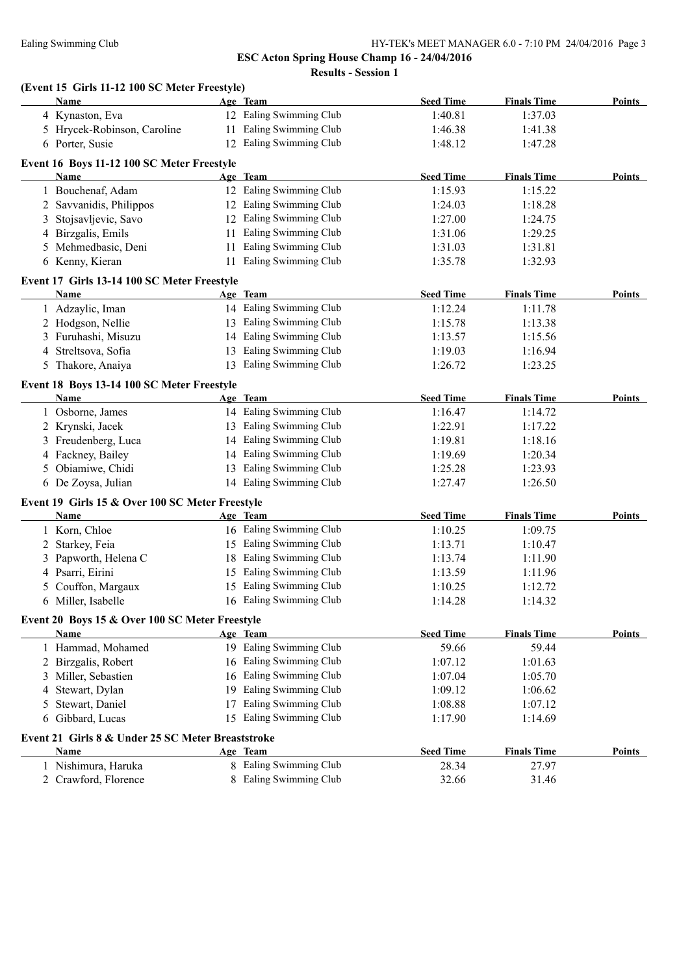#### Ealing Swimming Club HY-TEK's MEET MANAGER 6.0 - 7:10 PM 24/04/2016 Page 3

**ESC Acton Spring House Champ 16 - 24/04/2016**

**Results - Session 1**

|   | (Event 15 Girls 11-12 100 SC Meter Freestyle)<br><b>Name</b> |    | Age Team                | <b>Seed Time</b> | <b>Finals Time</b> | <b>Points</b> |
|---|--------------------------------------------------------------|----|-------------------------|------------------|--------------------|---------------|
|   | 4 Kynaston, Eva                                              |    | 12 Ealing Swimming Club | 1:40.81          | 1:37.03            |               |
|   | 5 Hrycek-Robinson, Caroline                                  |    | 11 Ealing Swimming Club | 1:46.38          | 1:41.38            |               |
|   | 6 Porter, Susie                                              |    | 12 Ealing Swimming Club | 1:48.12          | 1:47.28            |               |
|   | Event 16 Boys 11-12 100 SC Meter Freestyle                   |    |                         |                  |                    |               |
|   | Name                                                         |    | Age Team                | <b>Seed Time</b> | <b>Finals Time</b> | <b>Points</b> |
|   | 1 Bouchenaf, Adam                                            |    | 12 Ealing Swimming Club | 1:15.93          | 1:15.22            |               |
|   | Savvanidis, Philippos                                        |    | 12 Ealing Swimming Club | 1:24.03          | 1:18.28            |               |
| 2 |                                                              |    | 12 Ealing Swimming Club | 1:27.00          |                    |               |
| 3 | Stojsavljevic, Savo                                          |    |                         |                  | 1:24.75            |               |
| 4 | Birzgalis, Emils                                             |    | 11 Ealing Swimming Club | 1:31.06          | 1:29.25            |               |
| 5 | Mehmedbasic, Deni                                            |    | 11 Ealing Swimming Club | 1:31.03          | 1:31.81            |               |
|   | 6 Kenny, Kieran                                              |    | 11 Ealing Swimming Club | 1:35.78          | 1:32.93            |               |
|   | Event 17 Girls 13-14 100 SC Meter Freestyle                  |    |                         |                  |                    |               |
|   | Name                                                         |    | Age Team                | <b>Seed Time</b> | <b>Finals Time</b> | Points        |
|   | 1 Adzaylic, Iman                                             |    | 14 Ealing Swimming Club | 1:12.24          | 1:11.78            |               |
|   | 2 Hodgson, Nellie                                            |    | 13 Ealing Swimming Club | 1:15.78          | 1:13.38            |               |
|   | 3 Furuhashi, Misuzu                                          |    | 14 Ealing Swimming Club | 1:13.57          | 1:15.56            |               |
| 4 | Streltsova, Sofia                                            |    | 13 Ealing Swimming Club | 1:19.03          | 1:16.94            |               |
|   | 5 Thakore, Anaiya                                            |    | 13 Ealing Swimming Club | 1:26.72          | 1:23.25            |               |
|   | Event 18 Boys 13-14 100 SC Meter Freestyle                   |    |                         |                  |                    |               |
|   | <b>Name</b>                                                  |    | Age Team                | <b>Seed Time</b> | <b>Finals Time</b> | <b>Points</b> |
|   | 1 Osborne, James                                             |    | 14 Ealing Swimming Club | 1:16.47          | 1:14.72            |               |
|   |                                                              |    |                         |                  |                    |               |
|   | 2 Krynski, Jacek                                             |    | 13 Ealing Swimming Club | 1:22.91          | 1:17.22            |               |
|   | 3 Freudenberg, Luca                                          |    | 14 Ealing Swimming Club | 1:19.81          | 1:18.16            |               |
|   | 4 Fackney, Bailey                                            |    | 14 Ealing Swimming Club | 1:19.69          | 1:20.34            |               |
| 5 | Obiamiwe, Chidi                                              |    | 13 Ealing Swimming Club | 1:25.28          | 1:23.93            |               |
|   | 6 De Zoysa, Julian                                           |    | 14 Ealing Swimming Club | 1:27.47          | 1:26.50            |               |
|   | Event 19 Girls 15 & Over 100 SC Meter Freestyle              |    |                         |                  |                    |               |
|   | Name                                                         |    | Age Team                | <b>Seed Time</b> | <b>Finals Time</b> | Points        |
|   | 1 Korn, Chloe                                                |    | 16 Ealing Swimming Club | 1:10.25          | 1:09.75            |               |
| 2 | Starkey, Feia                                                |    | 15 Ealing Swimming Club | 1:13.71          | 1:10.47            |               |
|   | 3 Papworth, Helena C                                         |    | 18 Ealing Swimming Club | 1:13.74          | 1:11.90            |               |
|   | 4 Psarri, Eirini                                             |    | 15 Ealing Swimming Club | 1:13.59          | 1:11.96            |               |
|   | 5 Couffon, Margaux                                           |    | 15 Ealing Swimming Club | 1:10.25          | 1:12.72            |               |
|   | 6 Miller, Isabelle                                           |    | 16 Ealing Swimming Club | 1:14.28          | 1:14.32            |               |
|   |                                                              |    |                         |                  |                    |               |
|   | Event 20 Boys 15 & Over 100 SC Meter Freestyle               |    |                         |                  |                    |               |
|   | Name                                                         |    | Age Team                | <b>Seed Time</b> | <b>Finals Time</b> | <b>Points</b> |
|   | 1 Hammad, Mohamed                                            |    | 19 Ealing Swimming Club | 59.66            | 59.44              |               |
| 2 | Birzgalis, Robert                                            | 16 | Ealing Swimming Club    | 1:07.12          | 1:01.63            |               |
| 3 | Miller, Sebastien                                            | 16 | Ealing Swimming Club    | 1:07.04          | 1:05.70            |               |
| 4 | Stewart, Dylan                                               | 19 | Ealing Swimming Club    | 1:09.12          | 1:06.62            |               |
| 5 | Stewart, Daniel                                              | 17 | Ealing Swimming Club    | 1:08.88          | 1:07.12            |               |
| 6 | Gibbard, Lucas                                               | 15 | Ealing Swimming Club    | 1:17.90          | 1:14.69            |               |
|   | Event 21 Girls 8 & Under 25 SC Meter Breaststroke            |    |                         |                  |                    |               |
|   | Name                                                         |    | Age Team                | <b>Seed Time</b> | <b>Finals Time</b> | <b>Points</b> |
|   | 1 Nishimura, Haruka                                          |    | 8 Ealing Swimming Club  | 28.34            | 27.97              |               |
|   | 2 Crawford, Florence                                         |    | 8 Ealing Swimming Club  | 32.66            | 31.46              |               |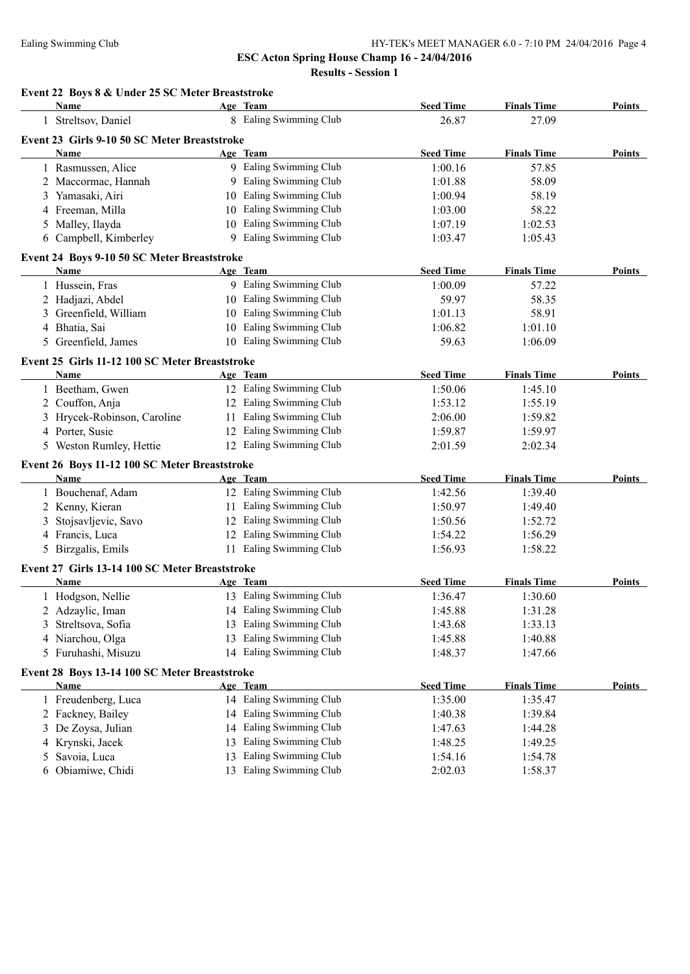**ESC Acton Spring House Champ 16 - 24/04/2016**

**Results - Session 1**

|   | Event 22 Boys 8 & Under 25 SC Meter Breaststroke<br>Name |    | Age Team                | <b>Seed Time</b> | <b>Finals Time</b> | Points        |
|---|----------------------------------------------------------|----|-------------------------|------------------|--------------------|---------------|
|   | 1 Streltsov, Daniel                                      |    | 8 Ealing Swimming Club  | 26.87            | 27.09              |               |
|   | Event 23 Girls 9-10 50 SC Meter Breaststroke             |    |                         |                  |                    |               |
|   | <b>Name</b>                                              |    | Age Team                | <b>Seed Time</b> | <b>Finals Time</b> | Points        |
|   | 1 Rasmussen, Alice                                       |    | 9 Ealing Swimming Club  | 1:00.16          | 57.85              |               |
|   | 2 Maccormac, Hannah                                      |    | 9 Ealing Swimming Club  | 1:01.88          | 58.09              |               |
|   | 3 Yamasaki, Airi                                         |    | 10 Ealing Swimming Club | 1:00.94          | 58.19              |               |
|   | 4 Freeman, Milla                                         |    | 10 Ealing Swimming Club | 1:03.00          | 58.22              |               |
|   | 5 Malley, Ilayda                                         |    | 10 Ealing Swimming Club | 1:07.19          | 1:02.53            |               |
|   | 6 Campbell, Kimberley                                    |    | 9 Ealing Swimming Club  | 1:03.47          | 1:05.43            |               |
|   | Event 24 Boys 9-10 50 SC Meter Breaststroke              |    |                         |                  |                    |               |
|   | Name                                                     |    | Age Team                | <b>Seed Time</b> | <b>Finals Time</b> | Points        |
|   | 1 Hussein, Fras                                          |    | 9 Ealing Swimming Club  | 1:00.09          | 57.22              |               |
|   | 2 Hadjazi, Abdel                                         |    | 10 Ealing Swimming Club | 59.97            | 58.35              |               |
|   | 3 Greenfield, William                                    |    | 10 Ealing Swimming Club | 1:01.13          | 58.91              |               |
|   | 4 Bhatia, Sai                                            |    | 10 Ealing Swimming Club | 1:06.82          | 1:01.10            |               |
|   | 5 Greenfield, James                                      |    | 10 Ealing Swimming Club | 59.63            | 1:06.09            |               |
|   | Event 25 Girls 11-12 100 SC Meter Breaststroke           |    |                         |                  |                    |               |
|   | <b>Name</b>                                              |    | Age Team                | <b>Seed Time</b> | <b>Finals Time</b> | Points        |
|   | 1 Beetham, Gwen                                          |    | 12 Ealing Swimming Club | 1:50.06          | 1:45.10            |               |
|   | 2 Couffon, Anja                                          |    | 12 Ealing Swimming Club | 1:53.12          | 1:55.19            |               |
|   | 3 Hrycek-Robinson, Caroline                              |    | 11 Ealing Swimming Club | 2:06.00          | 1:59.82            |               |
|   | 4 Porter, Susie                                          |    | 12 Ealing Swimming Club | 1:59.87          | 1:59.97            |               |
|   | 5 Weston Rumley, Hettie                                  |    | 12 Ealing Swimming Club | 2:01.59          | 2:02.34            |               |
|   | Event 26 Boys 11-12 100 SC Meter Breaststroke            |    |                         |                  |                    |               |
|   | Name                                                     |    | Age Team                | <b>Seed Time</b> | <b>Finals Time</b> | Points        |
|   | 1 Bouchenaf, Adam                                        |    | 12 Ealing Swimming Club | 1:42.56          | 1:39.40            |               |
|   | 2 Kenny, Kieran                                          |    | 11 Ealing Swimming Club | 1:50.97          | 1:49.40            |               |
| 3 | Stojsavljevic, Savo                                      |    | 12 Ealing Swimming Club | 1:50.56          | 1:52.72            |               |
|   | 4 Francis, Luca                                          |    | 12 Ealing Swimming Club | 1:54.22          | 1:56.29            |               |
|   | 5 Birzgalis, Emils                                       |    | 11 Ealing Swimming Club | 1:56.93          | 1:58.22            |               |
|   | Event 27 Girls 13-14 100 SC Meter Breaststroke           |    |                         |                  |                    |               |
|   | Name                                                     |    | Age Team                | <b>Seed Time</b> | <b>Finals Time</b> | Points        |
|   | 1 Hodgson, Nellie                                        |    | 13 Ealing Swimming Club | 1:36.47          | 1:30.60            |               |
|   | 2 Adzaylic, Iman                                         |    | 14 Ealing Swimming Club | 1:45.88          | 1:31.28            |               |
| 3 | Streltsova, Sofia                                        | 13 | Ealing Swimming Club    | 1:43.68          | 1:33.13            |               |
|   | 4 Niarchou, Olga                                         | 13 | Ealing Swimming Club    | 1:45.88          | 1:40.88            |               |
|   | 5 Furuhashi, Misuzu                                      |    | 14 Ealing Swimming Club | 1:48.37          | 1:47.66            |               |
|   | Event 28 Boys 13-14 100 SC Meter Breaststroke            |    |                         |                  |                    |               |
|   | <b>Name</b>                                              |    | Age Team                | <b>Seed Time</b> | <b>Finals Time</b> | <b>Points</b> |
|   | 1 Freudenberg, Luca                                      |    | 14 Ealing Swimming Club | 1:35.00          | 1:35.47            |               |
|   | 2 Fackney, Bailey                                        |    | 14 Ealing Swimming Club | 1:40.38          | 1:39.84            |               |
|   | 3 De Zoysa, Julian                                       | 14 | Ealing Swimming Club    | 1:47.63          | 1:44.28            |               |
| 4 | Krynski, Jacek                                           | 13 | Ealing Swimming Club    | 1:48.25          | 1:49.25            |               |
| 5 | Savoia, Luca                                             | 13 | Ealing Swimming Club    | 1:54.16          | 1:54.78            |               |
|   |                                                          |    | 13 Ealing Swimming Club | 2:02.03          | 1:58.37            |               |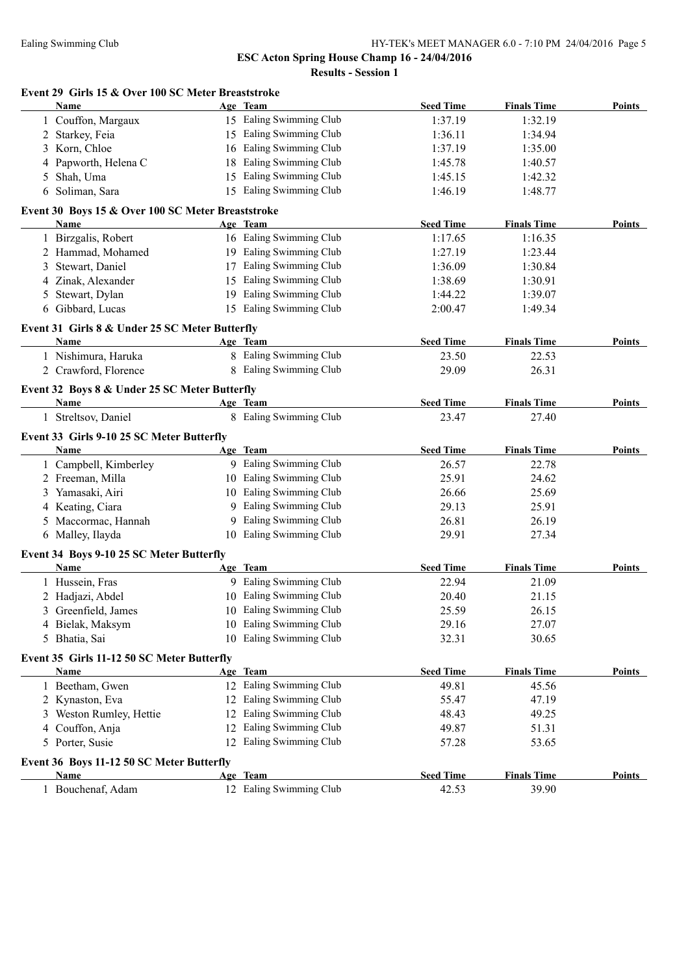| Event 29 Girls 15 & Over 100 SC Meter Breaststroke<br>Name | Age Team                | <b>Seed Time</b> | <b>Finals Time</b> | Points        |
|------------------------------------------------------------|-------------------------|------------------|--------------------|---------------|
| 1 Couffon, Margaux                                         | 15 Ealing Swimming Club | 1:37.19          | 1:32.19            |               |
| 2 Starkey, Feia                                            | 15 Ealing Swimming Club | 1:36.11          | 1:34.94            |               |
| Korn, Chloe<br>3                                           | 16 Ealing Swimming Club | 1:37.19          | 1:35.00            |               |
| Papworth, Helena C                                         | 18 Ealing Swimming Club | 1:45.78          | 1:40.57            |               |
| Shah, Uma<br>5                                             | 15 Ealing Swimming Club | 1:45.15          | 1:42.32            |               |
| 6 Soliman, Sara                                            | 15 Ealing Swimming Club | 1:46.19          | 1:48.77            |               |
| Event 30 Boys 15 & Over 100 SC Meter Breaststroke          |                         |                  |                    |               |
| Name                                                       | Age Team                | <b>Seed Time</b> | <b>Finals Time</b> | Points        |
| 1 Birzgalis, Robert                                        | 16 Ealing Swimming Club | 1:17.65          | 1:16.35            |               |
| 2 Hammad, Mohamed                                          | 19 Ealing Swimming Club | 1:27.19          | 1:23.44            |               |
| Stewart, Daniel<br>3                                       | 17 Ealing Swimming Club | 1:36.09          | 1:30.84            |               |
| Zinak, Alexander                                           | 15 Ealing Swimming Club | 1:38.69          | 1:30.91            |               |
| Stewart, Dylan<br>5                                        | 19 Ealing Swimming Club | 1:44.22          | 1:39.07            |               |
| 6 Gibbard, Lucas                                           | 15 Ealing Swimming Club | 2:00.47          | 1:49.34            |               |
| Event 31 Girls 8 & Under 25 SC Meter Butterfly             |                         |                  |                    |               |
| Name                                                       | Age Team                | <b>Seed Time</b> | <b>Finals Time</b> | Points        |
| 1 Nishimura, Haruka                                        | 8 Ealing Swimming Club  | 23.50            | 22.53              |               |
| 2 Crawford, Florence                                       | 8 Ealing Swimming Club  | 29.09            | 26.31              |               |
| Event 32 Boys 8 & Under 25 SC Meter Butterfly<br>Name      | Age Team                | <b>Seed Time</b> | <b>Finals Time</b> | Points        |
| 1 Streltsov, Daniel                                        | 8 Ealing Swimming Club  | 23.47            | 27.40              |               |
|                                                            |                         |                  |                    |               |
| Event 33 Girls 9-10 25 SC Meter Butterfly<br>Name          | Age Team                | <b>Seed Time</b> | <b>Finals Time</b> | <b>Points</b> |
| 1 Campbell, Kimberley                                      | 9 Ealing Swimming Club  | 26.57            | 22.78              |               |
| 2 Freeman, Milla                                           | 10 Ealing Swimming Club | 25.91            | 24.62              |               |
| 3 Yamasaki, Airi                                           | 10 Ealing Swimming Club | 26.66            | 25.69              |               |
| 4 Keating, Ciara                                           | 9 Ealing Swimming Club  | 29.13            | 25.91              |               |
| 5 Maccormac, Hannah                                        | 9 Ealing Swimming Club  | 26.81            | 26.19              |               |
| 6 Malley, Ilayda                                           | 10 Ealing Swimming Club | 29.91            | 27.34              |               |
| Event 34 Boys 9-10 25 SC Meter Butterfly                   |                         |                  |                    |               |
| Name                                                       | Age Team                | <b>Seed Time</b> | <b>Finals Time</b> | Points        |
| 1 Hussein, Fras                                            | 9 Ealing Swimming Club  | 22.94            | 21.09              |               |
| 2 Hadjazi, Abdel                                           | 10 Ealing Swimming Club | 20.40            | 21.15              |               |
| 3 Greenfield, James                                        | 10 Ealing Swimming Club | 25.59            | 26.15              |               |
| Bielak, Maksym<br>4                                        | 10 Ealing Swimming Club | 29.16            | 27.07              |               |
| 5 Bhatia, Sai                                              | 10 Ealing Swimming Club | 32.31            | 30.65              |               |
| Event 35 Girls 11-12 50 SC Meter Butterfly                 |                         |                  |                    |               |
| Name                                                       | Age Team                | <b>Seed Time</b> | <b>Finals Time</b> | <b>Points</b> |
| 1 Beetham, Gwen                                            | 12 Ealing Swimming Club | 49.81            | 45.56              |               |
| 2 Kynaston, Eva                                            | 12 Ealing Swimming Club | 55.47            | 47.19              |               |
| 3 Weston Rumley, Hettie                                    | 12 Ealing Swimming Club | 48.43            | 49.25              |               |
| 4 Couffon, Anja                                            | 12 Ealing Swimming Club | 49.87            | 51.31              |               |
| 5 Porter, Susie                                            | 12 Ealing Swimming Club | 57.28            | 53.65              |               |
| Event 36 Boys 11-12 50 SC Meter Butterfly                  |                         |                  |                    |               |
| Name                                                       | Age Team                | <b>Seed Time</b> | <b>Finals Time</b> | Points        |
| 1 Bouchenaf, Adam                                          | 12 Ealing Swimming Club | 42.53            | 39.90              |               |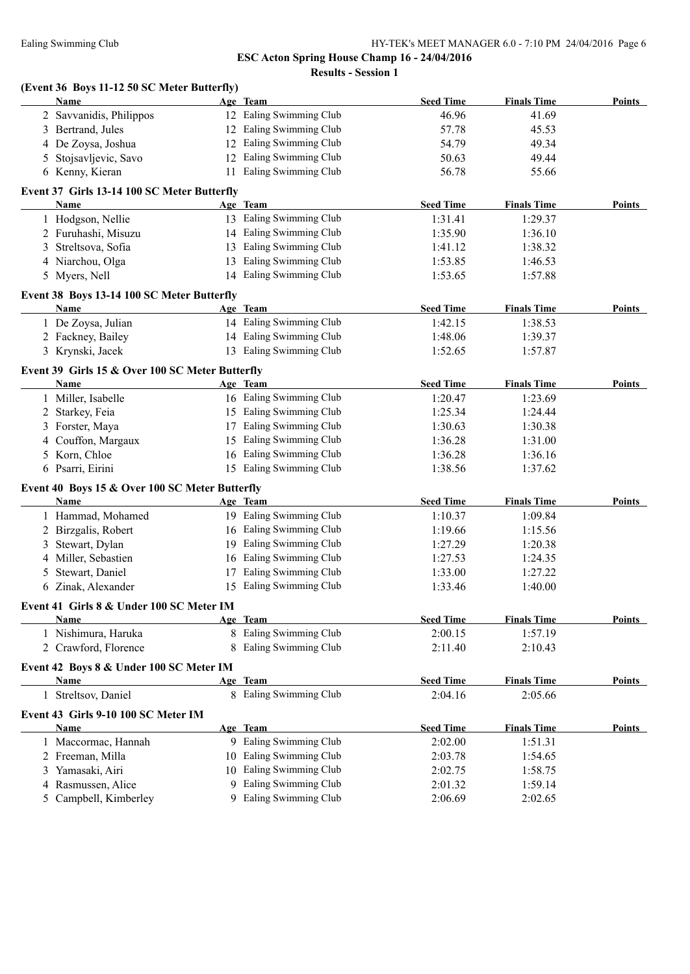|    | (Event 36 Boys 11-12 50 SC Meter Butterfly)     |    |                         |                  |                    |               |
|----|-------------------------------------------------|----|-------------------------|------------------|--------------------|---------------|
|    | Name                                            |    | Age Team                | <b>Seed Time</b> | <b>Finals Time</b> | Points        |
|    | 2 Savvanidis, Philippos                         |    | 12 Ealing Swimming Club | 46.96            | 41.69              |               |
|    | 3 Bertrand, Jules                               |    | 12 Ealing Swimming Club | 57.78            | 45.53              |               |
|    | 4 De Zoysa, Joshua                              |    | 12 Ealing Swimming Club | 54.79            | 49.34              |               |
| 5. | Stojsavljevic, Savo                             |    | 12 Ealing Swimming Club | 50.63            | 49.44              |               |
|    | 6 Kenny, Kieran                                 |    | 11 Ealing Swimming Club | 56.78            | 55.66              |               |
|    | Event 37 Girls 13-14 100 SC Meter Butterfly     |    |                         |                  |                    |               |
|    | Name                                            |    | Age Team                | <b>Seed Time</b> | <b>Finals Time</b> | Points        |
|    | 1 Hodgson, Nellie                               |    | 13 Ealing Swimming Club | 1:31.41          | 1:29.37            |               |
|    | 2 Furuhashi, Misuzu                             |    | 14 Ealing Swimming Club | 1:35.90          | 1:36.10            |               |
|    | 3 Streltsova, Sofia                             |    | 13 Ealing Swimming Club | 1:41.12          | 1:38.32            |               |
|    | 4 Niarchou, Olga                                |    | 13 Ealing Swimming Club | 1:53.85          | 1:46.53            |               |
|    | 5 Myers, Nell                                   |    | 14 Ealing Swimming Club | 1:53.65          | 1:57.88            |               |
|    | Event 38 Boys 13-14 100 SC Meter Butterfly      |    |                         |                  |                    |               |
|    | <b>Name</b>                                     |    | Age Team                | <b>Seed Time</b> | <b>Finals Time</b> | Points        |
|    | 1 De Zoysa, Julian                              |    | 14 Ealing Swimming Club | 1:42.15          | 1:38.53            |               |
|    | 2 Fackney, Bailey                               |    | 14 Ealing Swimming Club | 1:48.06          | 1:39.37            |               |
|    | 3 Krynski, Jacek                                |    | 13 Ealing Swimming Club | 1:52.65          | 1:57.87            |               |
|    | Event 39 Girls 15 & Over 100 SC Meter Butterfly |    |                         |                  |                    |               |
|    | Name                                            |    | Age Team                | <b>Seed Time</b> | <b>Finals Time</b> | Points        |
|    | 1 Miller, Isabelle                              |    | 16 Ealing Swimming Club | 1:20.47          | 1:23.69            |               |
|    | 2 Starkey, Feia                                 |    | 15 Ealing Swimming Club | 1:25.34          | 1:24.44            |               |
|    | 3 Forster, Maya                                 |    | 17 Ealing Swimming Club | 1:30.63          | 1:30.38            |               |
|    | 4 Couffon, Margaux                              |    | 15 Ealing Swimming Club | 1:36.28          | 1:31.00            |               |
| 5. | Korn, Chloe                                     |    | 16 Ealing Swimming Club | 1:36.28          | 1:36.16            |               |
|    | 6 Psarri, Eirini                                |    | 15 Ealing Swimming Club | 1:38.56          | 1:37.62            |               |
|    | Event 40 Boys 15 & Over 100 SC Meter Butterfly  |    |                         |                  |                    |               |
|    | Name                                            |    | Age Team                | <b>Seed Time</b> | <b>Finals Time</b> | <b>Points</b> |
|    | 1 Hammad, Mohamed                               |    | 19 Ealing Swimming Club | 1:10.37          | 1:09.84            |               |
|    | 2 Birzgalis, Robert                             |    | 16 Ealing Swimming Club | 1:19.66          | 1:15.56            |               |
|    | 3 Stewart, Dylan                                |    | 19 Ealing Swimming Club | 1:27.29          | 1:20.38            |               |
|    | 4 Miller, Sebastien                             |    | 16 Ealing Swimming Club | 1:27.53          | 1:24.35            |               |
| 5  | Stewart, Daniel                                 |    | 17 Ealing Swimming Club | 1:33.00          | 1:27.22            |               |
|    | 6 Zinak, Alexander                              |    | 15 Ealing Swimming Club | 1:33.46          | 1:40.00            |               |
|    | Event 41 Girls 8 & Under 100 SC Meter IM        |    |                         |                  |                    |               |
|    | Name                                            |    | Age Team                | <b>Seed Time</b> | <b>Finals Time</b> | Points        |
|    | 1 Nishimura, Haruka                             |    | 8 Ealing Swimming Club  | 2:00.15          | 1:57.19            |               |
|    | 2 Crawford, Florence                            | 8  | Ealing Swimming Club    | 2:11.40          | 2:10.43            |               |
|    | Event 42 Boys 8 & Under 100 SC Meter IM         |    |                         |                  |                    |               |
|    | <b>Name</b>                                     |    | Age Team                | <b>Seed Time</b> | <b>Finals Time</b> | <b>Points</b> |
|    | 1 Streltsov, Daniel                             |    | 8 Ealing Swimming Club  | 2:04.16          | 2:05.66            |               |
|    | Event 43 Girls 9-10 100 SC Meter IM             |    |                         |                  |                    |               |
|    | Name                                            |    | Age Team                | <b>Seed Time</b> | <b>Finals Time</b> | Points        |
|    | 1 Maccormac, Hannah                             |    | 9 Ealing Swimming Club  | 2:02.00          | 1:51.31            |               |
|    | 2 Freeman, Milla                                |    | 10 Ealing Swimming Club | 2:03.78          | 1:54.65            |               |
| 3  | Yamasaki, Airi                                  |    | 10 Ealing Swimming Club | 2:02.75          | 1:58.75            |               |
| 4  | Rasmussen, Alice                                | 9. | Ealing Swimming Club    | 2:01.32          | 1:59.14            |               |
| 5  | Campbell, Kimberley                             |    | 9 Ealing Swimming Club  | 2:06.69          | 2:02.65            |               |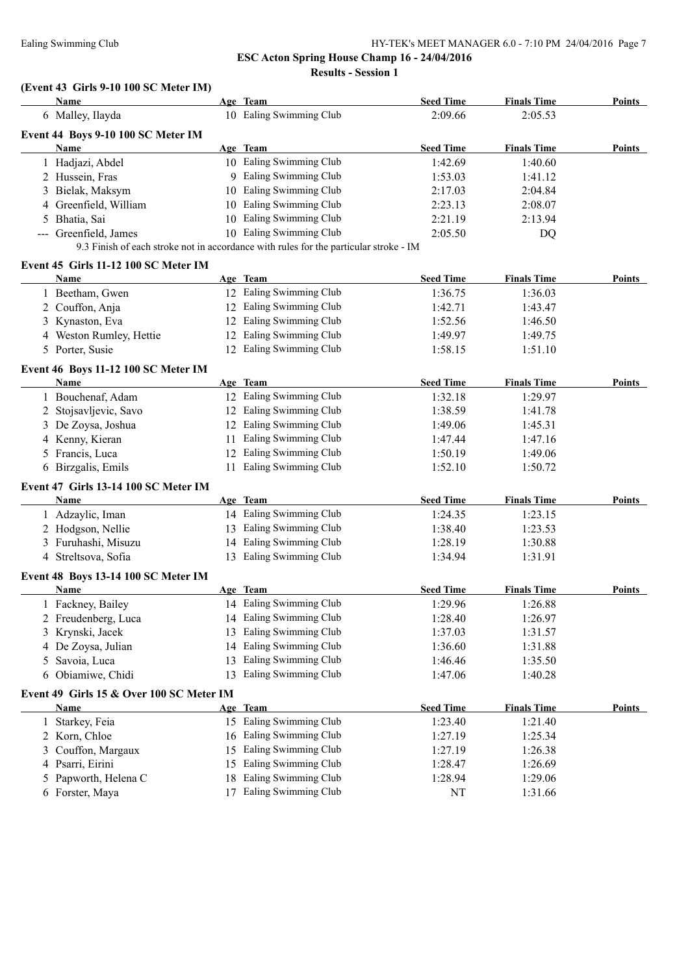#### Ealing Swimming Club HY-TEK's MEET MANAGER 6.0 - 7:10 PM 24/04/2016 Page 7

**ESC Acton Spring House Champ 16 - 24/04/2016**

**Results - Session 1**

# **(Event 43 Girls 9-10 100 SC Meter IM)**

|   | Name                                     |    | Age Team                                                                              | <b>Seed Time</b> | <b>Finals Time</b> | Points        |
|---|------------------------------------------|----|---------------------------------------------------------------------------------------|------------------|--------------------|---------------|
|   | 6 Malley, Ilayda                         |    | 10 Ealing Swimming Club                                                               | 2:09.66          | 2:05.53            |               |
|   | Event 44 Boys 9-10 100 SC Meter IM       |    |                                                                                       |                  |                    |               |
|   | Name                                     |    | Age Team                                                                              | <b>Seed Time</b> | <b>Finals Time</b> | <b>Points</b> |
|   | 1 Hadjazi, Abdel                         |    | 10 Ealing Swimming Club                                                               | 1:42.69          | 1:40.60            |               |
|   | 2 Hussein, Fras                          |    | 9 Ealing Swimming Club                                                                | 1:53.03          | 1:41.12            |               |
|   | 3 Bielak, Maksym                         |    | 10 Ealing Swimming Club                                                               | 2:17.03          | 2:04.84            |               |
|   | 4 Greenfield, William                    |    | 10 Ealing Swimming Club                                                               | 2:23.13          | 2:08.07            |               |
|   | 5 Bhatia, Sai                            |    | 10 Ealing Swimming Club                                                               | 2:21.19          | 2:13.94            |               |
|   | --- Greenfield, James                    |    | 10 Ealing Swimming Club                                                               | 2:05.50          | DQ                 |               |
|   |                                          |    | 9.3 Finish of each stroke not in accordance with rules for the particular stroke - IM |                  |                    |               |
|   | Event 45 Girls 11-12 100 SC Meter IM     |    |                                                                                       |                  |                    |               |
|   | Name                                     |    | Age Team                                                                              | <b>Seed Time</b> | <b>Finals Time</b> | Points        |
|   | 1 Beetham, Gwen                          |    | 12 Ealing Swimming Club                                                               | 1:36.75          | 1:36.03            |               |
|   | 2 Couffon, Anja                          |    | 12 Ealing Swimming Club                                                               | 1:42.71          | 1:43.47            |               |
|   | 3 Kynaston, Eva                          |    | 12 Ealing Swimming Club                                                               | 1:52.56          | 1:46.50            |               |
|   | 4 Weston Rumley, Hettie                  |    | 12 Ealing Swimming Club                                                               | 1:49.97          | 1:49.75            |               |
|   | 5 Porter, Susie                          |    | 12 Ealing Swimming Club                                                               | 1:58.15          | 1:51.10            |               |
|   |                                          |    |                                                                                       |                  |                    |               |
|   | Event 46 Boys 11-12 100 SC Meter IM      |    |                                                                                       |                  |                    |               |
|   | <b>Name</b>                              |    | Age Team                                                                              | <b>Seed Time</b> | <b>Finals Time</b> | <b>Points</b> |
|   | 1 Bouchenaf, Adam                        |    | 12 Ealing Swimming Club                                                               | 1:32.18          | 1:29.97            |               |
|   | 2 Stojsavljevic, Savo                    |    | 12 Ealing Swimming Club                                                               | 1:38.59          | 1:41.78            |               |
|   | 3 De Zoysa, Joshua                       |    | 12 Ealing Swimming Club                                                               | 1:49.06          | 1:45.31            |               |
|   | 4 Kenny, Kieran                          |    | 11 Ealing Swimming Club                                                               | 1:47.44          | 1:47.16            |               |
|   | 5 Francis, Luca                          |    | 12 Ealing Swimming Club                                                               | 1:50.19          | 1:49.06            |               |
|   | 6 Birzgalis, Emils                       |    | 11 Ealing Swimming Club                                                               | 1:52.10          | 1:50.72            |               |
|   | Event 47 Girls 13-14 100 SC Meter IM     |    |                                                                                       |                  |                    |               |
|   | Name                                     |    | Age Team                                                                              | <b>Seed Time</b> | <b>Finals Time</b> | Points        |
|   | 1 Adzaylic, Iman                         |    | 14 Ealing Swimming Club                                                               | 1:24.35          | 1:23.15            |               |
|   | 2 Hodgson, Nellie                        |    | 13 Ealing Swimming Club                                                               | 1:38.40          | 1:23.53            |               |
|   | 3 Furuhashi, Misuzu                      |    | 14 Ealing Swimming Club                                                               | 1:28.19          | 1:30.88            |               |
|   | 4 Streltsova, Sofia                      |    | 13 Ealing Swimming Club                                                               | 1:34.94          | 1:31.91            |               |
|   | Event 48 Boys 13-14 100 SC Meter IM      |    |                                                                                       |                  |                    |               |
|   | Name                                     |    | Age Team                                                                              | <b>Seed Time</b> | <b>Finals Time</b> | Points        |
|   | 1 Fackney, Bailey                        |    | 14 Ealing Swimming Club                                                               | 1:29.96          | 1:26.88            |               |
|   | 2 Freudenberg, Luca                      |    | 14 Ealing Swimming Club                                                               | 1:28.40          | 1:26.97            |               |
|   | 3 Krynski, Jacek                         |    | 13 Ealing Swimming Club                                                               | 1:37.03          | 1:31.57            |               |
|   | 4 De Zoysa, Julian                       |    | 14 Ealing Swimming Club                                                               | 1:36.60          | 1:31.88            |               |
|   | 5 Savoia, Luca                           | 13 | Ealing Swimming Club                                                                  | 1:46.46          | 1:35.50            |               |
| 6 | Obiamiwe, Chidi                          | 13 | Ealing Swimming Club                                                                  | 1:47.06          | 1:40.28            |               |
|   |                                          |    |                                                                                       |                  |                    |               |
|   | Event 49 Girls 15 & Over 100 SC Meter IM |    |                                                                                       |                  |                    |               |
|   | Name                                     |    | Age Team                                                                              | <b>Seed Time</b> | <b>Finals Time</b> | <b>Points</b> |
| 1 | Starkey, Feia                            |    | 15 Ealing Swimming Club                                                               | 1:23.40          | 1:21.40            |               |
|   | 2 Korn, Chloe                            |    | 16 Ealing Swimming Club                                                               | 1:27.19          | 1:25.34            |               |
| 3 | Couffon, Margaux                         | 15 | Ealing Swimming Club                                                                  | 1:27.19          | 1:26.38            |               |
|   | 4 Psarri, Eirini                         | 15 | Ealing Swimming Club                                                                  | 1:28.47          | 1:26.69            |               |
|   | 5 Papworth, Helena C                     | 18 | Ealing Swimming Club                                                                  | 1:28.94          | 1:29.06            |               |
|   | 6 Forster, Maya                          | 17 | Ealing Swimming Club                                                                  | NT               | 1:31.66            |               |